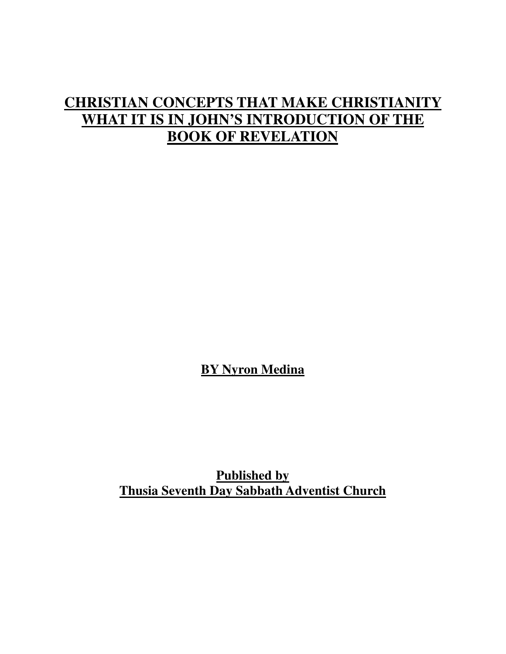## **CHRISTIAN CONCEPTS THAT MAKE CHRISTIANITY WHAT IT IS IN JOHN'S INTRODUCTION OF THE BOOK OF REVELATION**

**BY Nyron Medina**

**Published by Thusia Seventh Day Sabbath Adventist Church**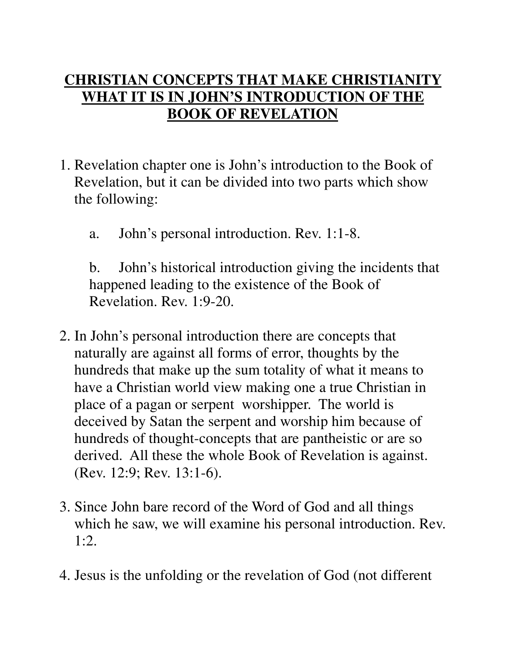## **CHRISTIAN CONCEPTS THAT MAKE CHRISTIANITY WHAT IT IS IN JOHN'S INTRODUCTION OF THE BOOK OF REVELATION**

- 1. Revelation chapter one is John's introduction to the Book of Revelation, but it can be divided into two parts which show the following:
	- a. John's personal introduction. Rev. 1:1-8.

 b. John's historical introduction giving the incidents that happened leading to the existence of the Book of Revelation. Rev. 1:9-20.

- 2. In John's personal introduction there are concepts that naturally are against all forms of error, thoughts by the hundreds that make up the sum totality of what it means to have a Christian world view making one a true Christian in place of a pagan or serpent worshipper. The world is deceived by Satan the serpent and worship him because of hundreds of thought-concepts that are pantheistic or are so derived. All these the whole Book of Revelation is against. (Rev. 12:9; Rev. 13:1-6).
- 3. Since John bare record of the Word of God and all things which he saw, we will examine his personal introduction. Rev. 1:2.
- 4. Jesus is the unfolding or the revelation of God (not different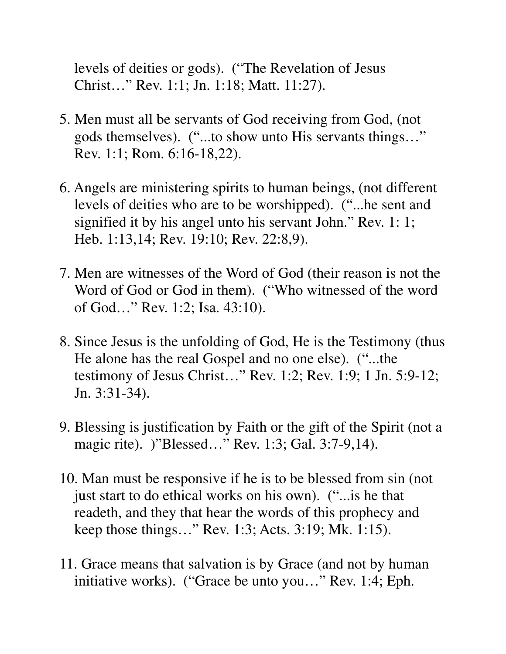levels of deities or gods). ("The Revelation of Jesus Christ…" Rev. 1:1; Jn. 1:18; Matt. 11:27).

- 5. Men must all be servants of God receiving from God, (not gods themselves). ("...to show unto His servants things…" Rev. 1:1; Rom. 6:16-18,22).
- 6. Angels are ministering spirits to human beings, (not different levels of deities who are to be worshipped). ("...he sent and signified it by his angel unto his servant John." Rev. 1: 1; Heb. 1:13,14; Rev. 19:10; Rev. 22:8,9).
- 7. Men are witnesses of the Word of God (their reason is not the Word of God or God in them). ("Who witnessed of the word of God…" Rev. 1:2; Isa. 43:10).
- 8. Since Jesus is the unfolding of God, He is the Testimony (thus He alone has the real Gospel and no one else). ("...the testimony of Jesus Christ…" Rev. 1:2; Rev. 1:9; 1 Jn. 5:9-12; Jn. 3:31-34).
- 9. Blessing is justification by Faith or the gift of the Spirit (not a magic rite). )"Blessed..." Rev. 1:3; Gal. 3:7-9,14).
- 10. Man must be responsive if he is to be blessed from sin (not just start to do ethical works on his own). ("...is he that readeth, and they that hear the words of this prophecy and keep those things…" Rev. 1:3; Acts. 3:19; Mk. 1:15).
- 11. Grace means that salvation is by Grace (and not by human initiative works). ("Grace be unto you…" Rev. 1:4; Eph.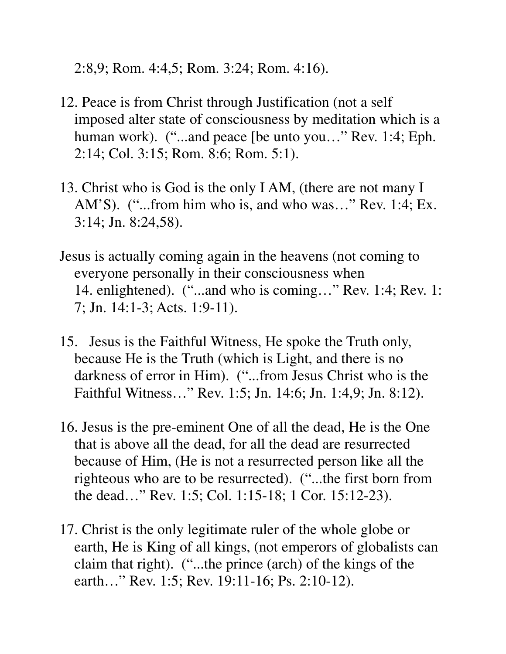2:8,9; Rom. 4:4,5; Rom. 3:24; Rom. 4:16).

- 12. Peace is from Christ through Justification (not a self imposed alter state of consciousness by meditation which is a human work). ("...and peace [be unto you..." Rev. 1:4; Eph. 2:14; Col. 3:15; Rom. 8:6; Rom. 5:1).
- 13. Christ who is God is the only I AM, (there are not many I AM'S). ("...from him who is, and who was..." Rev. 1:4; Ex. 3:14; Jn. 8:24,58).
- Jesus is actually coming again in the heavens (not coming to everyone personally in their consciousness when 14. enlightened). ("...and who is coming..." Rev. 1:4; Rev. 1: 7; Jn. 14:1-3; Acts. 1:9-11).
- 15. Jesus is the Faithful Witness, He spoke the Truth only, because He is the Truth (which is Light, and there is no darkness of error in Him). ("...from Jesus Christ who is the Faithful Witness…" Rev. 1:5; Jn. 14:6; Jn. 1:4,9; Jn. 8:12).
- 16. Jesus is the pre-eminent One of all the dead, He is the One that is above all the dead, for all the dead are resurrected because of Him, (He is not a resurrected person like all the righteous who are to be resurrected). ("...the first born from the dead…" Rev. 1:5; Col. 1:15-18; 1 Cor. 15:12-23).
- 17. Christ is the only legitimate ruler of the whole globe or earth, He is King of all kings, (not emperors of globalists can claim that right). ("...the prince (arch) of the kings of the earth…" Rev. 1:5; Rev. 19:11-16; Ps. 2:10-12).